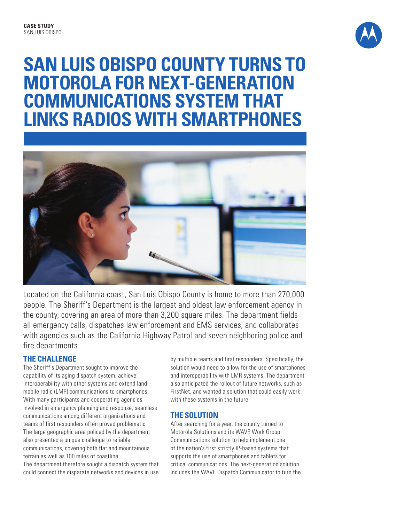

# **SAN LUIS OBISPO COUNTY TURNS TO MOTOROLA FOR NEXT-GENERATION COMMUNICATIONS SYSTEM THAT LINKS RADIOS WITH SMARTPHONES**



Located on the California coast, San Luis Obispo County is home to more than 270,000 people. The Sheriff's Department is the largest and oldest law enforcement agency in the county, covering an area of more than 3,200 square miles. The department fields all emergency calls, dispatches law enforcement and EMS services, and collaborates with agencies such as the California Highway Patrol and seven neighboring police and fire departments.

## **THE CHALLENGE**

The Sheriff's Department sought to improve the capability of its aging dispatch system, achieve interoperability with other systems and extend land mobile radio (LMR) communications to smartphones. With many participants and cooperating agencies involved in emergency planning and response, seamless communications among different organizations and teams of first responders often proved problematic. The large geographic area policed by the department also presented a unique challenge to reliable communications, covering both flat and mountainous terrain as well as 100 miles of coastline.

The department therefore sought a dispatch system that could connect the disparate networks and devices in use

by multiple teams and first responders. Specifically, the solution would need to allow for the use of smartphones and interoperability with LMR systems. The department also anticipated the rollout of future networks, such as FirstNet, and wanted a solution that could easily work with these systems in the future.

## **THE SOLUTION**

After searching for a year, the county turned to Motorola Solutions and its WAVE Work Group Communications solution to help implement one of the nation's first strictly IP-based systems that supports the use of smartphones and tablets for critical communications. The next-generation solution includes the WAVE Dispatch Communicator to turn the